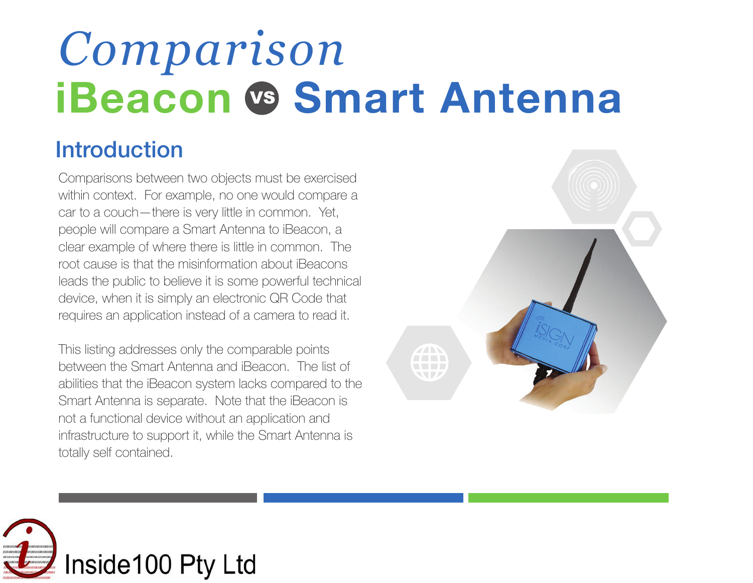# **iBeacon** VS **Smart Antenna** *Comparison*

### **Introduction**

Comparisons between two objects must be exercised within context. For example, no one would compare a car to a couch—there is very little in common. Yet, people will compare a Smart Antenna to iBeacon, a clear example of where there is little in common. The root cause is that the misinformation about iBeacons leads the public to believe it is some powerful technical device, when it is simply an electronic QR Code that requires an application instead of a camera to read it.

This listing addresses only the comparable points between the Smart Antenna and iBeacon. The list of abilities that the iBeacon system lacks compared to the Smart Antenna is separate. Note that the iBeacon is not a functional device without an application and infrastructure to support it, while the Smart Antenna is totally self contained.



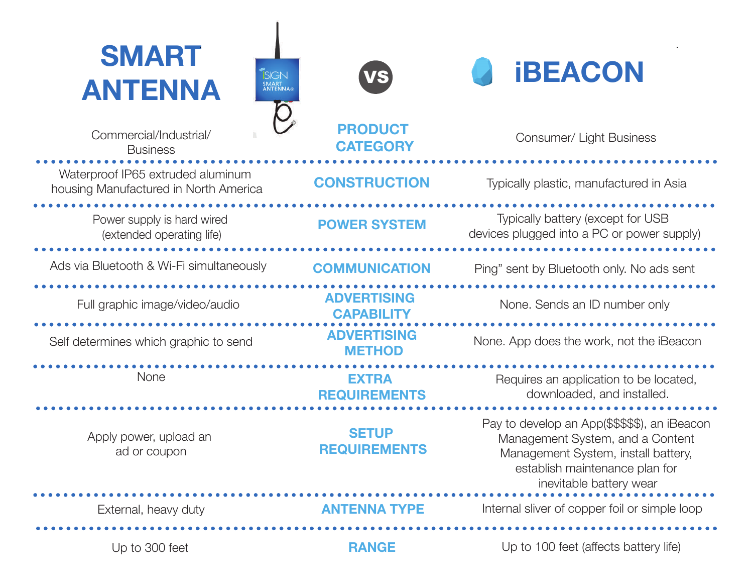### **SMART ANTENNA iBEACON**





**PRODUCT CATEGORY**



Waterproof IP65 extruded aluminum<br> **CONSTRUCTION** housing Manufactured in North America **CONSTRUCTION** Typically plastic, manufactured in Asia

Power supply is hard wired **POWER SYSTEM** (extended operating life)

Ads via Bluetooth & Wi-Fi simultaneously **COMMUNICATION** Ping" sent by Bluetooth only. No ads sent

None

Apply power, upload an ad or coupon

**SETUP REQUIREMENTS**

**ADVERTISING** 

**ADVERTISING** 

**EXTRA REQUIREMENTS**



Commercial/Industrial/ Commercial/Industrial/ Consumer/ Light Business

Typically battery (except for USB devices plugged into a PC or power supply)

**Full graphic image/video/audio CAPABILITY None.** Sends an ID number only

Self determines which graphic to send<br> **METHOD** None. App does the work, not the iBeacon

Requires an application to be located, downloaded, and installed.

Pay to develop an App(\$\$\$\$\$), an iBeacon Management System, and a Content Management System, install battery, establish maintenance plan for inevitable battery wear

External, heavy duty **ANTENNA TYPE** Internal sliver of copper foil or simple loop

Up to 300 feet **RANGE** Up to 100 feet (affects battery life)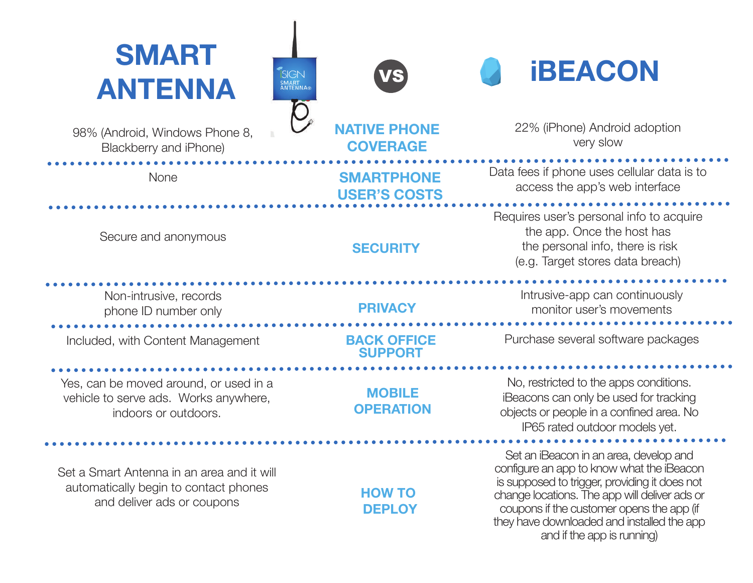### **SMART ANTENNA iBEACON**

98% (Android, Windows Phone 8, Blackberry and iPhone)

None

VS

**NATIVE PHONE COVERAGE**

**SMARTPHONE USER'S COSTS**

**SECURITY**

22% (iPhone) Android adoption very slow

Data fees if phone uses cellular data is to access the app's web interface

Requires user's personal info to acquire the app. Once the host has the personal info, there is risk (e.g. Target stores data breach)

> Intrusive-app can continuously monitor user's movements

Purchase several software packages

No, restricted to the apps conditions. iBeacons can only be used for tracking objects or people in a confined area. No IP65 rated outdoor models yet.

Set an iBeacon in an area, develop and configure an app to know what the iBeacon is supposed to trigger, providing it does not change locations. The app will deliver ads or coupons if the customer opens the app (if they have downloaded and installed the app and if the app is running)

Non-intrusive, records

Secure and anonymous

phone ID number only

Included, with Content Management

Yes, can be moved around, or used in a vehicle to serve ads. Works anywhere, indoors or outdoors.

Set a Smart Antenna in an area and it will automatically begin to contact phones and deliver ads or coupons

**HOW TO DEPLOY**

**BACK OFFICE SUPPORT**

**MOBILE OPERATION**

**PRIVACY**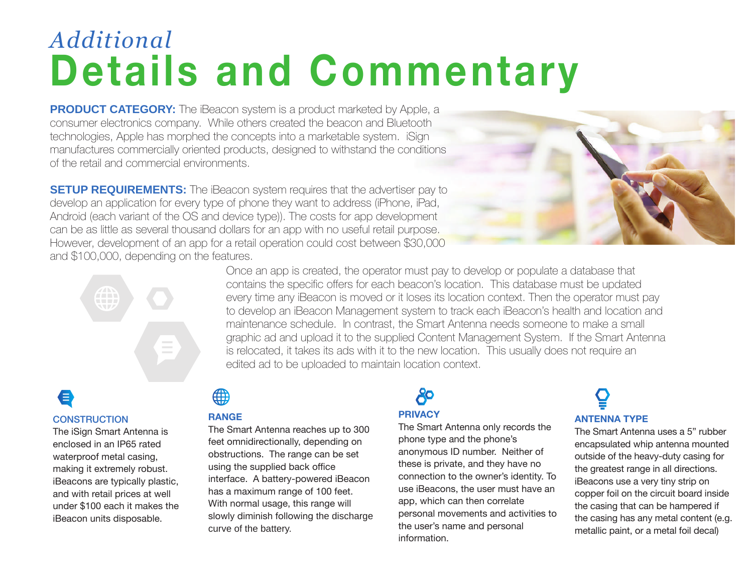### *Additional* **Details and Commentary**

**PRODUCT CATEGORY:** The iBeacon system is a product marketed by Apple, a consumer electronics company. While others created the beacon and Bluetooth technologies, Apple has morphed the concepts into a marketable system. iSign manufactures commercially oriented products, designed to withstand the conditions of the retail and commercial environments.

**SETUP REQUIREMENTS:** The iBeacon system requires that the advertiser pay to develop an application for every type of phone they want to address (iPhone, iPad, Android (each variant of the OS and device type)). The costs for app development can be as little as several thousand dollars for an app with no useful retail purpose. However, development of an app for a retail operation could cost between \$30,000 and \$100,000, depending on the features.





Once an app is created, the operator must pay to develop or populate a database that contains the specific offers for each beacon's location. This database must be updated every time any iBeacon is moved or it loses its location context. Then the operator must pay to develop an iBeacon Management system to track each iBeacon's health and location and maintenance schedule. In contrast, the Smart Antenna needs someone to make a small graphic ad and upload it to the supplied Content Management System. If the Smart Antenna is relocated, it takes its ads with it to the new location. This usually does not require an edited ad to be uploaded to maintain location context.

#### € **CONSTRUCTION**

The iSign Smart Antenna is enclosed in an IP65 rated waterproof metal casing, making it extremely robust. iBeacons are typically plastic, and with retail prices at well under \$100 each it makes the iBeacon units disposable.

### ∰

#### **RANGE**

The Smart Antenna reaches up to 300 feet omnidirectionally, depending on obstructions. The range can be set using the supplied back office interface. A battery-powered iBeacon has a maximum range of 100 feet. With normal usage, this range will slowly diminish following the discharge curve of the battery.

#### ථි **PRIVACY**

The Smart Antenna only records the phone type and the phone's anonymous ID number. Neither of these is private, and they have no connection to the owner's identity. To use iBeacons, the user must have an app, which can then correlate personal movements and activities to the user's name and personal information.

## **ANTENNA TYPE**

The Smart Antenna uses a 5" rubber encapsulated whip antenna mounted outside of the heavy-duty casing for the greatest range in all directions. iBeacons use a very tiny strip on copper foil on the circuit board inside the casing that can be hampered if the casing has any metal content (e.g. metallic paint, or a metal foil decal)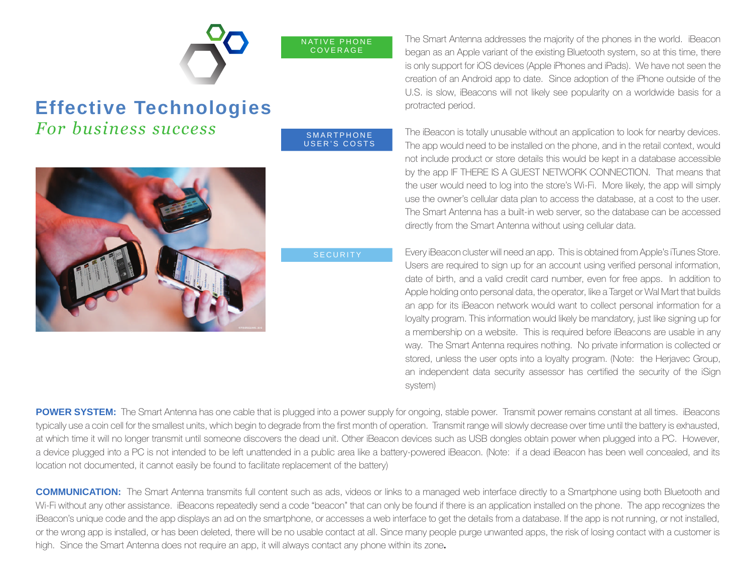|                               | The Smart Antenna addresses the majority of the phones in the world. iBeacon<br>NATIVE PHONE<br>COVERAGE<br>began as an Apple variant of the existing Bluetooth system, so at this time, there<br>is only support for iOS devices (Apple iPhones and iPads). We have not seen the<br>creation of an Android app to date. Since adoption of the iPhone outside of the<br>U.S. is slow, iBeacons will not likely see popularity on a worldwide basis for a                                                                                                                                                                                                                                                                                                                                                                                                                                      |
|-------------------------------|-----------------------------------------------------------------------------------------------------------------------------------------------------------------------------------------------------------------------------------------------------------------------------------------------------------------------------------------------------------------------------------------------------------------------------------------------------------------------------------------------------------------------------------------------------------------------------------------------------------------------------------------------------------------------------------------------------------------------------------------------------------------------------------------------------------------------------------------------------------------------------------------------|
| <b>Effective Technologies</b> | protracted period.                                                                                                                                                                                                                                                                                                                                                                                                                                                                                                                                                                                                                                                                                                                                                                                                                                                                            |
| For business success          | The iBeacon is totally unusable without an application to look for nearby devices.<br>SMARTPHONE<br>USER'S COSTS<br>The app would need to be installed on the phone, and in the retail context, would<br>not include product or store details this would be kept in a database accessible<br>by the app IF THERE IS A GUEST NETWORK CONNECTION. That means that<br>the user would need to log into the store's Wi-Fi. More likely, the app will simply<br>use the owner's cellular data plan to access the database, at a cost to the user.<br>The Smart Antenna has a built-in web server, so the database can be accessed<br>directly from the Smart Antenna without using cellular data.                                                                                                                                                                                                   |
|                               | Every iBeacon cluster will need an app. This is obtained from Apple's iTunes Store.<br><b>SECURITY</b><br>Users are required to sign up for an account using verified personal information,<br>date of birth, and a valid credit card number, even for free apps. In addition to<br>Apple holding onto personal data, the operator, like a Target or Wal Mart that builds<br>an app for its iBeacon network would want to collect personal information for a<br>loyalty program. This information would likely be mandatory, just like signing up for<br>a membership on a website. This is required before iBeacons are usable in any<br>way. The Smart Antenna requires nothing. No private information is collected or<br>stored, unless the user opts into a loyalty program. (Note: the Herjavec Group,<br>an independent data security assessor has certified the security of the iSign |

**POWER SYSTEM:** The Smart Antenna has one cable that is plugged into a power supply for ongoing, stable power. Transmit power remains constant at all times. iBeacons typically use a coin cell for the smallest units, which begin to degrade from the first month of operation. Transmit range will slowly decrease over time until the battery is exhausted, at which time it will no longer transmit until someone discovers the dead unit. Other iBeacon devices such as USB dongles obtain power when plugged into a PC. However, a device plugged into a PC is not intended to be left unattended in a public area like a battery-powered iBeacon. (Note: if a dead iBeacon has been well concealed, and its location not documented, it cannot easily be found to facilitate replacement of the battery)

system)

**COMMUNICATION:** The Smart Antenna transmits full content such as ads, videos or links to a managed web interface directly to a Smartphone using both Bluetooth and Wi-Fi without any other assistance. iBeacons repeatedly send a code "beacon" that can only be found if there is an application installed on the phone. The app recognizes the iBeacon's unique code and the app displays an ad on the smartphone, or accesses a web interface to get the details from a database. If the app is not running, or not installed, or the wrong app is installed, or has been deleted, there will be no usable contact at all. Since many people purge unwanted apps, the risk of losing contact with a customer is high. Since the Smart Antenna does not require an app, it will always contact any phone within its zone**.**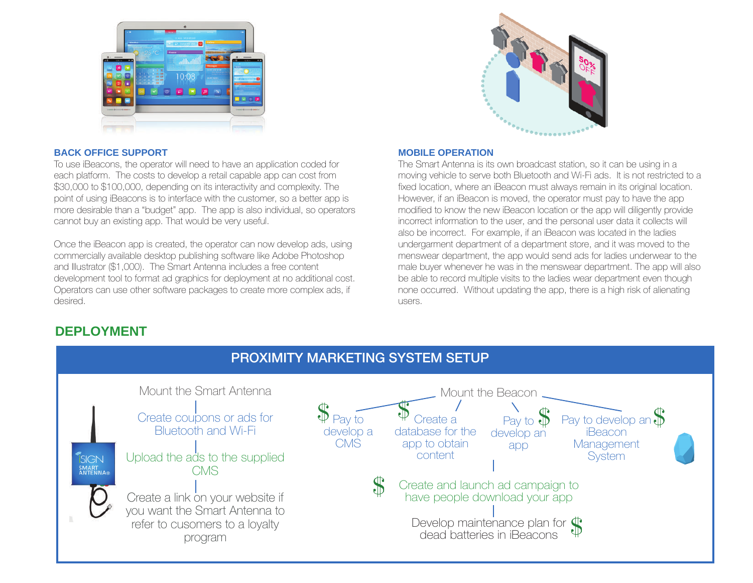



#### **BACK OFFICE SUPPORT**

To use iBeacons, the operator will need to have an application coded for each platform. The costs to develop a retail capable app can cost from \$30,000 to \$100,000, depending on its interactivity and complexity. The point of using iBeacons is to interface with the customer, so a better app is more desirable than a "budget" app. The app is also individual, so operators cannot buy an existing app. That would be very useful.

Once the iBeacon app is created, the operator can now develop ads, using commercially available desktop publishing software like Adobe Photoshop and Illustrator (\$1,000). The Smart Antenna includes a free content development tool to format ad graphics for deployment at no additional cost. Operators can use other software packages to create more complex ads, if desired.

#### **MOBILE OPERATION**

The Smart Antenna is its own broadcast station, so it can be using in a moving vehicle to serve both Bluetooth and Wi-Fi ads. It is not restricted to a fixed location, where an iBeacon must always remain in its original location. However, if an iBeacon is moved, the operator must pay to have the app modified to know the new iBeacon location or the app will diligently provide incorrect information to the user, and the personal user data it collects will also be incorrect. For example, if an iBeacon was located in the ladies undergarment department of a department store, and it was moved to the menswear department, the app would send ads for ladies underwear to the male buyer whenever he was in the menswear department. The app will also be able to record multiple visits to the ladies wear department even though none occurred. Without updating the app, there is a high risk of alienating users.

#### **DEPLOYMENT**